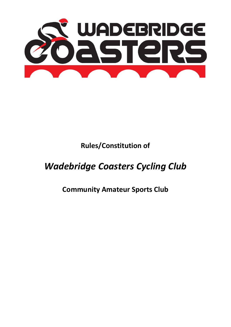

**Rules/Constitution of** 

# *Wadebridge Coasters Cycling Club*

**Community Amateur Sports Club**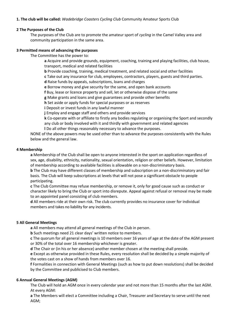# **1. The club will be called:** *Wadebridge Coasters Cycling Club* Community Amateur Sports Club

#### **2 The Purposes of the Club**

The purposes of the Club are to promote the amateur sport of *cycling* in the Camel Valley area and community participation in the same area.

#### **3 Permitted means of advancing the purposes**

The Committee has the power to:

**a** Acquire and provide grounds, equipment, coaching, training and playing facilities, club house, transport, medical and related facilities

**b** Provide coaching, training, medical treatment, and related social and other facilities

**c** Take out any insurance for club, employees, contractors, players, guests and third parties.

**d** Raise funds by appeals, subscriptions, loans and charges

**e** Borrow money and give security for the same, and open bank accounts

**f** Buy, lease or licence property and sell, let or otherwise dispose of the same

**g** Make grants and loans and give guarantees and provide other benefits

**h** Set aside or apply funds for special purposes or as reserves

**i** Deposit or invest funds in any lawful manner

**j** Employ and engage staff and others and provide services

**k** Co-operate with or affiliate to firstly any bodies regulating or organising the Sport and secondly any club or body involved with it and thirdly with government and related agencies

**l** Do all other things reasonably necessary to advance the purposes.

NONE of the above powers may be used other than to advance the purposes consistently with the Rules below and the general law.

#### **4 Membership**

**a** Membership of the Club shall be open to anyone interested in the sport on application regardless of sex, age, disability, ethnicity, nationality, sexual orientation, religion or other beliefs. However, limitation of membership according to available facilities is allowable on a non-discriminatory basis.

**b** The Club may have different classes of membership and subscription on a non-discriminatory and fair basis. The Club will keep subscriptions at levels that will not pose a significant obstacle to people participating.

**c** The Club Committee may refuse membership, or remove it, only for good cause such as conduct or character likely to bring the Club or sport into disrepute. Appeal against refusal or removal may be made to an appointed panel consisting of club members.

**d** All members ride at their own risk. The club currently provides no insurance cover for individual members and takes no liability for any incidents.

#### **5 All General Meetings**

**a** All members may attend all general meetings of the Club in person.

**b** Such meetings need 21 clear days' written notice to members.

**c** The quorum for all general meetings is 10 members over 16 years of age at the date of the AGM present or 30% of the total over 16 membership whichever is greater.

**d** The Chair or (in his or her absence) another member chosen at the meeting shall preside.

**e** Except as otherwise provided in these Rules, every resolution shall be decided by a simple majority of the votes cast on a show of hands from members over 16.

**f** Formalities in connection with General Meetings (such as how to put down resolutions) shall be decided by the Committee and publicised to Club members.

#### **6 Annual General Meetings (AGM)**

The Club will hold an AGM once in every calendar year and not more than 15 months after the last AGM. At every AGM:

**a** The Members will elect a Committee including a Chair, Treasurer and Secretary to serve until the next AGM;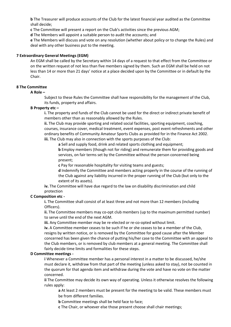**b** The Treasurer will produce accounts of the Club for the latest financial year audited as the Committee shall decide;

**c** The Committee will present a report on the Club's activities since the previous AGM;

**d** The Members will appoint a suitable person to audit the accounts; and

**e** The Members will discuss and vote on any resolution (whether about policy or to change the Rules) and deal with any other business put to the meeting.

# **7 Extraordinary General Meetings (EGM)**

An EGM shall be called by the Secretary within 14 days of a request to that effect from the Committee or on the written request of not less than five members signed by them. Such an EGM shall be held on not less than 14 or more than 21 days' notice at a place decided upon by the Committee or in default by the Chair.

# **8 The Committee**

#### **A Role –**

Subject to these Rules the Committee shall have responsibility for the management of the Club, its funds, property and affairs.

# **B Property etc –**

**i.** The property and funds of the Club cannot be used for the direct or indirect private benefit of members other than as reasonably allowed by the Rules.

**ii.** The Club may provide sporting and related social facilities, sporting equipment, coaching, courses, insurance cover, medical treatment, event expenses, post event refreshments and other ordinary benefits of Community Amateur Sports Clubs as provided for in the Finance Act 2002. **iii.** The Club may also in connection with the sports purposes of the Club:

**a** Sell and supply food, drink and related sports clothing and equipment;

**b** Employ members (though not for riding) and remunerate them for providing goods and services, on fair terms set by the Committee without the person concerned being present;

**c** Pay for reasonable hospitality for visiting teams and guests;

**d** Indemnify the Committee and members acting properly in the course of the running of the Club against any liability incurred in the proper running of the Club (but only to the extent of its assets).

**iv.** The Committee will have due regard to the law on disability discrimination and child protection

#### **C Composition etc -**

**i.** The Committee shall consist of at least three and not more than 12 members (including Officers).

**ii.** The Committee members may co-opt club members (up to the maximum permitted number) to serve until the end of the next AGM.

**iii.** Any Committee member may be re-elected or re-co-opted without limit.

**iv.** A Committee member ceases to be such if he or she ceases to be a member of the Club, resigns by written notice, or is removed by the Committee for good cause after the Member concerned has been given the chance of putting his/her case to the Committee with an appeal to the Club members, or is removed by club members at a general meeting. The Committee shall fairly decide time limits and formalities for these steps.

#### **D Committee meetings -**

**i** Whenever a Committee member has a personal interest in a matter to be discussed, he/she must declare it, withdraw from that part of the meeting (unless asked to stay), not be counted in the quorum for that agenda item and withdraw during the vote and have no vote on the matter concerned.

**ii** The Committee may decide its own way of operating. Unless it otherwise resolves the following rules apply:

**a** At least 2 members must be present for the meeting to be valid. These members must be from different families.

**b** Committee meetings shall be held face to face;

**c** The Chair, or whoever else those present choose shall chair meetings;